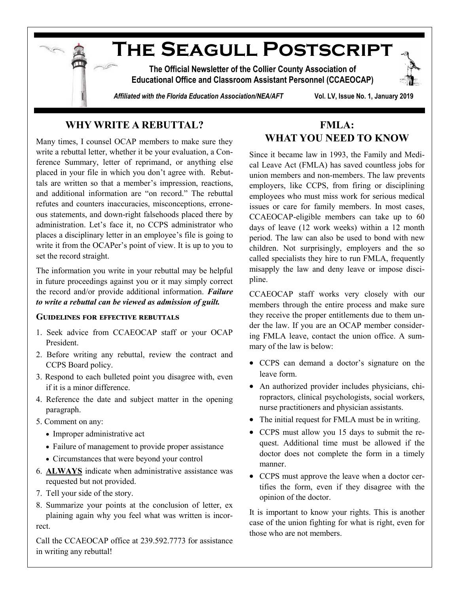

*Affiliated with the Florida Education Association/NEA/AFT* **Vol. LV, Issue No. 1, January 2019**

## **WHY WRITE A REBUTTAL?**

Many times, I counsel OCAP members to make sure they write a rebuttal letter, whether it be your evaluation, a Conference Summary, letter of reprimand, or anything else placed in your file in which you don't agree with. Rebuttals are written so that a member's impression, reactions, and additional information are "on record." The rebuttal refutes and counters inaccuracies, misconceptions, erroneous statements, and down-right falsehoods placed there by administration. Let's face it, no CCPS administrator who places a disciplinary letter in an employee's file is going to write it from the OCAPer's point of view. It is up to you to set the record straight.

The information you write in your rebuttal may be helpful in future proceedings against you or it may simply correct the record and/or provide additional information. *Failure to write a rebuttal can be viewed as admission of guilt.* 

## **Guidelines for effective rebuttals**

- 1. Seek advice from CCAEOCAP staff or your OCAP President.
- 2. Before writing any rebuttal, review the contract and CCPS Board policy.
- 3. Respond to each bulleted point you disagree with, even if it is a minor difference.
- 4. Reference the date and subject matter in the opening paragraph.
- 5. Comment on any:
	- Improper administrative act
	- Failure of management to provide proper assistance
	- Circumstances that were beyond your control
- 6. **ALWAYS** indicate when administrative assistance was requested but not provided.
- 7. Tell your side of the story.
- 8. Summarize your points at the conclusion of letter, ex plaining again why you feel what was written is incorrect.

Call the CCAEOCAP office at 239.592.7773 for assistance in writing any rebuttal!

## **FMLA: WHAT YOU NEED TO KNOW**

Since it became law in 1993, the Family and Medical Leave Act (FMLA) has saved countless jobs for union members and non-members. The law prevents employers, like CCPS, from firing or disciplining employees who must miss work for serious medical issues or care for family members. In most cases, CCAEOCAP-eligible members can take up to 60 days of leave (12 work weeks) within a 12 month period. The law can also be used to bond with new children. Not surprisingly, employers and the so called specialists they hire to run FMLA, frequently misapply the law and deny leave or impose discipline.

CCAEOCAP staff works very closely with our members through the entire process and make sure they receive the proper entitlements due to them under the law. If you are an OCAP member considering FMLA leave, contact the union office. A summary of the law is below:

- CCPS can demand a doctor's signature on the leave form.
- An authorized provider includes physicians, chiropractors, clinical psychologists, social workers, nurse practitioners and physician assistants.
- The initial request for FMLA must be in writing.
- CCPS must allow you 15 days to submit the request. Additional time must be allowed if the doctor does not complete the form in a timely manner.
- CCPS must approve the leave when a doctor certifies the form, even if they disagree with the opinion of the doctor.

It is important to know your rights. This is another case of the union fighting for what is right, even for those who are not members.